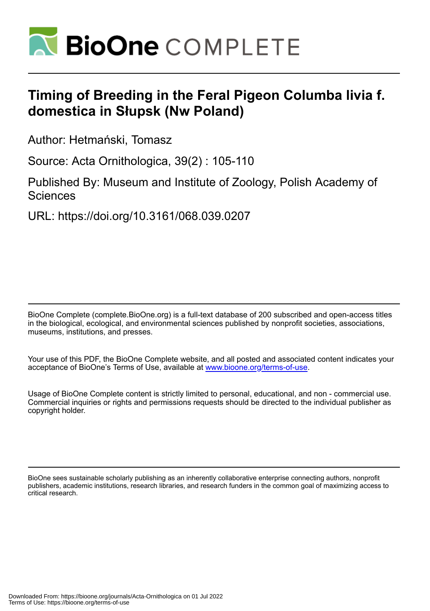

# **Timing of Breeding in the Feral Pigeon Columba livia f. domestica in Słupsk (Nw Poland)**

Author: Hetmański, Tomasz

Source: Acta Ornithologica, 39(2) : 105-110

Published By: Museum and Institute of Zoology, Polish Academy of **Sciences** 

URL: https://doi.org/10.3161/068.039.0207

BioOne Complete (complete.BioOne.org) is a full-text database of 200 subscribed and open-access titles in the biological, ecological, and environmental sciences published by nonprofit societies, associations, museums, institutions, and presses.

Your use of this PDF, the BioOne Complete website, and all posted and associated content indicates your acceptance of BioOne's Terms of Use, available at www.bioone.org/terms-of-use.

Usage of BioOne Complete content is strictly limited to personal, educational, and non - commercial use. Commercial inquiries or rights and permissions requests should be directed to the individual publisher as copyright holder.

BioOne sees sustainable scholarly publishing as an inherently collaborative enterprise connecting authors, nonprofit publishers, academic institutions, research libraries, and research funders in the common goal of maximizing access to critical research.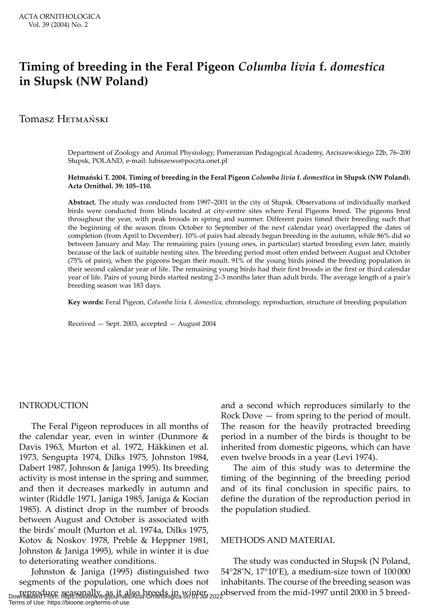# **Timing of breeding in the Feral Pigeon** *Columba livia* **f.** *domestica* **in Słupsk (NW Poland)**

# Tomasz Hetmański

Department of Zoology and Animal Physiology, Pomeranian Pedagogical Academy, Arciszewskiego 22b, 76–200 Słupsk, POLAND, e-mail: lubiszewo@poczta.onet.pl

#### **Hetmański T. 2004. Timing of breeding in the Feral Pigeon** *Columba livia* **f.** *domestica* **in Słupsk (NW Poland). Acta Ornithol. 39: 105–110.**

**Abstract.** The study was conducted from 1997–2001 in the city of Słupsk. Observations of individually marked birds were conducted from blinds located at city-centre sites where Feral Pigeons breed. The pigeons bred throughout the year, with peak broods in spring and summer. Different pairs timed their breeding such that the beginning of the season (from October to September of the next calendar year) overlapped the dates of completion (from April to December). 10% of pairs had already begun breeding in the autumn, while 86% did so between January and May. The remaining pairs (young ones, in particular) started breeding even later, mainly because of the lack of suitable nesting sites. The breeding period most often ended between August and October (75% of pairs), when the pigeons began their moult. 91% of the young birds joined the breeding population in their second calendar year of life. The remaining young birds had their first broods in the first or third calendar year of life. Pairs of young birds started nesting 2–3 months later than adult birds. The average length of a pair's breeding season was 183 days.

**Key words:** Feral Pigeon, *Columba livia* f. *domestica*, chronology, reproduction, structure of breeding population

Received — Sept. 2003, accepted — August 2004

#### INTRODUCTION

The Feral Pigeon reproduces in all months of the calendar year, even in winter (Dunmore & Davis 1963, Murton et al. 1972, Häkkinen et al. 1973, Sengupta 1974, Dilks 1975, Johnston 1984, Dabert 1987, Johnson & Janiga 1995). Its breeding activity is most intense in the spring and summer, and then it decreases markedly in autumn and winter (Riddle 1971, Janiga 1985, Janiga & Kocian 1985). A distinct drop in the number of broods between August and October is associated with the birds' moult (Murton et al. 1974a, Dilks 1975, Kotov & Noskov 1978, Preble & Heppner 1981, Johnston & Janiga 1995), while in winter it is due to deteriorating weather conditions.

Johnston & Janiga (1995) distinguished two segments of the population, one which does not reproduce seasonally, as it also breeds in winter, co-observed from the mid-1997 until 2000 in 5 breed-<br>Downloaded From: https://bioone.org/journals/Acta-Ornithologica on 01 Jul 2022 Terms of Use: https://bioone.org/terms-of-use

and a second which reproduces similarly to the Rock Dove — from spring to the period of moult. The reason for the heavily protracted breeding period in a number of the birds is thought to be inherited from domestic pigeons, which can have even twelve broods in a year (Levi 1974).

The aim of this study was to determine the timing of the beginning of the breeding period and of its final conclusion in specific pairs, to define the duration of the reproduction period in the population studied.

#### METHODS AND MATERIAL

The study was conducted in Słupsk (N Poland, 54°28'N, 17°10'E), a medium-size town of 100 000 inhabitants. The course of the breeding season was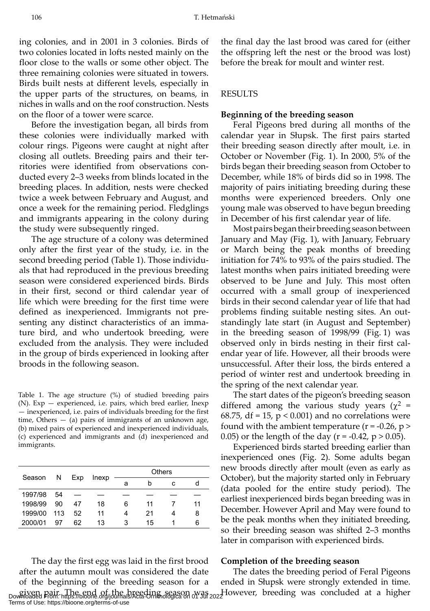ing colonies, and in 2001 in 3 colonies. Birds of two colonies located in lofts nested mainly on the floor close to the walls or some other object. The three remaining colonies were situated in towers. Birds built nests at different levels, especially in the upper parts of the structures, on beams, in niches in walls and on the roof construction. Nests on the floor of a tower were scarce.

Before the investigation began, all birds from these colonies were individually marked with colour rings. Pigeons were caught at night after closing all outlets. Breeding pairs and their territories were identified from observations conducted every 2–3 weeks from blinds located in the breeding places. In addition, nests were checked twice a week between February and August, and once a week for the remaining period. Fledglings and immigrants appearing in the colony during the study were subsequently ringed.

The age structure of a colony was determined only after the first year of the study, i.e. in the second breeding period (Table 1). Those individuals that had reproduced in the previous breeding season were considered experienced birds. Birds in their first, second or third calendar year of life which were breeding for the first time were defined as inexperienced. Immigrants not presenting any distinct characteristics of an immature bird, and who undertook breeding, were excluded from the analysis. They were included in the group of birds experienced in looking after broods in the following season.

Table 1. The age structure (%) of studied breeding pairs (N). Exp — experienced, i.e. pairs, which bred earlier, Inexp — inexperienced, i.e. pairs of individuals breeding for the first time, Others  $-$  (a) pairs of immigrants of an unknown age, (b) mixed pairs of experienced and inexperienced individuals, (c) experienced and immigrants and (d) inexperienced and immigrants.

| Season      | N   | Exp | Inexp | Others |    |   |    |
|-------------|-----|-----|-------|--------|----|---|----|
|             |     |     |       | a      |    | c |    |
| 1997/98 54  |     |     |       |        |    |   |    |
| 1998/99     | 90  | 47  | 18    | 6      | 11 |   | 11 |
| 1999/00 113 |     | 52  | 11    |        | 21 |   | 8  |
| 2000/01     | -97 | 62  | 13    | 3      | 15 |   | 6  |
|             |     |     |       |        |    |   |    |

The day the first egg was laid in the first brood after the autumn moult was considered the date of the beginning of the breeding season for a Terms of Use: https://bioone.org/terms-of-use

the final day the last brood was cared for (either the offspring left the nest or the brood was lost) before the break for moult and winter rest.

#### RESULTS

#### **Beginning of the breeding season**

Feral Pigeons bred during all months of the calendar year in Słupsk. The first pairs started their breeding season directly after moult, i.e. in October or November (Fig. 1). In 2000, 5% of the birds began their breeding season from October to December, while 18% of birds did so in 1998. The majority of pairs initiating breeding during these months were experienced breeders. Only one young male was observed to have begun breeding in December of his first calendar year of life.

Most pairs began their breeding season between January and May (Fig. 1), with January, February or March being the peak months of breeding initiation for 74% to 93% of the pairs studied. The latest months when pairs initiated breeding were observed to be June and July. This most often occurred with a small group of inexperienced birds in their second calendar year of life that had problems finding suitable nesting sites. An outstandingly late start (in August and September) in the breeding season of 1998/99 (Fig. 1) was observed only in birds nesting in their first calendar year of life. However, all their broods were unsuccessful. After their loss, the birds entered a period of winter rest and undertook breeding in the spring of the next calendar year.

The start dates of the pigeon's breeding season differed among the various study years ( $\chi^2$  = 68.75, df = 15,  $p < 0.001$ ) and no correlations were found with the ambient temperature ( $r = -0.26$ ,  $p >$ 0.05) or the length of the day ( $r = -0.42$ ,  $p > 0.05$ ).

Experienced birds started breeding earlier than inexperienced ones (Fig. 2). Some adults began new broods directly after moult (even as early as October), but the majority started only in February (data pooled for the entire study period). The earliest inexperienced birds began breeding was in December. However April and May were found to be the peak months when they initiated breeding, so their breeding season was shifted 2–3 months later in comparison with experienced birds.

#### **Completion of the breeding season**

eiven pair. The end of the breeding season was azz-However, breeding was concluded at a higher<br>Downloaded From: https://bioone.org/journals/Acta-Ornithologica on of Jul 2022 The dates the breeding period of Feral Pigeons ended in Słupsk were strongly extended in time.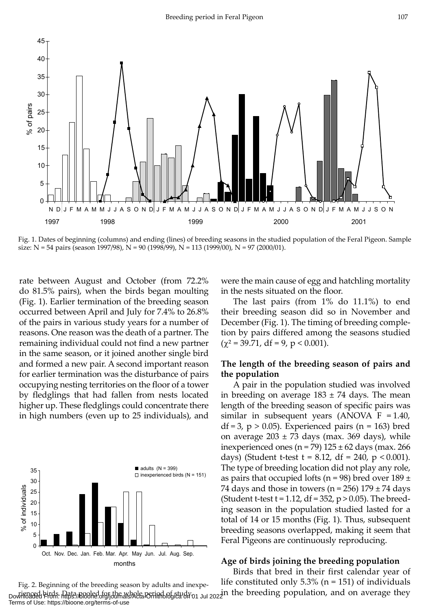

Fig. 1. Dates of beginning (columns) and ending (lines) of breeding seasons in the studied population of the Feral Pigeon. Sample size:  $N = 54$  pairs (season 1997/98),  $N = 90$  (1998/99),  $N = 113$  (1999/00),  $N = 97$  (2000/01).

rate between August and October (from 72.2% do 81.5% pairs), when the birds began moulting (Fig. 1). Earlier termination of the breeding season occurred between April and July for 7.4% to 26.8% of the pairs in various study years for a number of reasons. One reason was the death of a partner. The remaining individual could not find a new partner in the same season, or it joined another single bird and formed a new pair. A second important reason for earlier termination was the disturbance of pairs occupying nesting territories on the floor of a tower by fledglings that had fallen from nests located higher up. These fledglings could concentrate there in high numbers (even up to 25 individuals), and



were the main cause of egg and hatchling mortality in the nests situated on the floor.

The last pairs (from 1% do 11.1%) to end their breeding season did so in November and December (Fig. 1). The timing of breeding completion by pairs differed among the seasons studied  $(\chi^2 = 39.71, df = 9, p < 0.001).$ 

### **The length of the breeding season of pairs and the population**

A pair in the population studied was involved in breeding on average  $183 \pm 74$  days. The mean length of the breeding season of specific pairs was similar in subsequent years (ANOVA  $F = 1.40$ ,  $df = 3$ ,  $p > 0.05$ ). Experienced pairs (n = 163) bred on average  $203 \pm 73$  days (max. 369 days), while inexperienced ones (n = 79)  $125 \pm 62$  days (max. 266 days) (Student t-test  $t = 8.12$ , df = 240, p < 0.001). The type of breeding location did not play any role, as pairs that occupied lofts ( $n = 98$ ) bred over 189 ± 74 days and those in towers ( $n = 256$ ) 179  $\pm$  74 days (Student t-test  $t = 1.12$ , df = 352, p > 0.05). The breeding season in the population studied lasted for a total of 14 or 15 months (Fig. 1). Thus, subsequent breeding seasons overlapped, making it seem that Feral Pigeons are continuously reproducing.

#### **Age of birds joining the breeding population**

Birds that bred in their first calendar year of life constituted only  $5.3\%$  (n = 151) of individuals

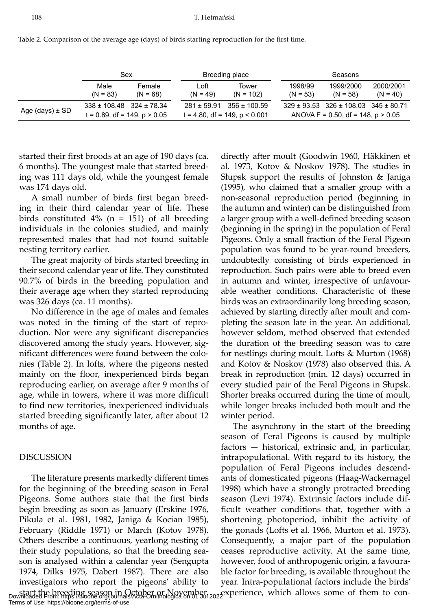|  | Table 2. Comparison of the average age (days) of birds starting reproduction for the first time. |  |
|--|--------------------------------------------------------------------------------------------------|--|
|--|--------------------------------------------------------------------------------------------------|--|

|                 | Sex                                                                 |                      | Breeding place     |                                                      | Seasons               |                                                                                             |                         |
|-----------------|---------------------------------------------------------------------|----------------------|--------------------|------------------------------------------------------|-----------------------|---------------------------------------------------------------------------------------------|-------------------------|
|                 | Male<br>$(N = 83)$                                                  | Female<br>$(N = 68)$ | Loft<br>$(N = 49)$ | Tower<br>$(N = 102)$                                 | 1998/99<br>$(N = 53)$ | 1999/2000<br>$(N = 58)$                                                                     | 2000/2001<br>$(N = 40)$ |
| Age (days) ± SD | $338 \pm 108.48$ $324 \pm 78.34$<br>$t = 0.89$ , df = 149, p > 0.05 |                      | $281 \pm 59.91$    | $356 \pm 100.59$<br>$t = 4.80$ , df = 149, p < 0.001 |                       | $329 \pm 93.53$ $326 \pm 108.03$ $345 \pm 80.71$<br>ANOVA F = $0.50$ , df = 148, p > $0.05$ |                         |

started their first broods at an age of 190 days (ca. 6 months). The youngest male that started breeding was 111 days old, while the youngest female was 174 days old.

A small number of birds first began breeding in their third calendar year of life. These birds constituted  $4\%$  (n = 151) of all breeding individuals in the colonies studied, and mainly represented males that had not found suitable nesting territory earlier.

The great majority of birds started breeding in their second calendar year of life. They constituted 90.7% of birds in the breeding population and their average age when they started reproducing was 326 days (ca. 11 months).

No difference in the age of males and females was noted in the timing of the start of reproduction. Nor were any significant discrepancies discovered among the study years. However, significant differences were found between the colonies (Table 2). In lofts, where the pigeons nested mainly on the floor, inexperienced birds began reproducing earlier, on average after 9 months of age, while in towers, where it was more difficult to find new territories, inexperienced individuals started breeding significantly later, after about 12 months of age.

#### DISCUSSION

The literature presents markedly different times for the beginning of the breeding season in Feral Pigeons. Some authors state that the first birds begin breeding as soon as January (Erskine 1976, Pikula et al. 1981, 1982, Janiga & Kocian 1985), February (Riddle 1971) or March (Kotov 1978). Others describe a continuous, yearlong nesting of their study populations, so that the breeding season is analysed within a calendar year (Sengupta 1974, Dilks 1975, Dabert 1987). There are also investigators who report the pigeons' ability to start the breeding season in October or November, experience, which allows some of them to con-<br>Downloaded From: https://bioone.org/journals/Acta-Ornithologica on 01 Jul 2022

directly after moult (Goodwin 1960, Häkkinen et al. 1973, Kotov & Noskov 1978). The studies in Słupsk support the results of Johnston & Janiga (1995), who claimed that a smaller group with a non-seasonal reproduction period (beginning in the autumn and winter) can be distinguished from a larger group with a well-defined breeding season (beginning in the spring) in the population of Feral Pigeons. Only a small fraction of the Feral Pigeon population was found to be year-round breeders, undoubtedly consisting of birds experienced in reproduction. Such pairs were able to breed even in autumn and winter, irrespective of unfavourable weather conditions. Characteristic of these birds was an extraordinarily long breeding season, achieved by starting directly after moult and completing the season late in the year. An additional, however seldom, method observed that extended the duration of the breeding season was to care for nestlings during moult. Lofts & Murton (1968) and Kotov & Noskov (1978) also observed this. A break in reproduction (min. 12 days) occurred in every studied pair of the Feral Pigeons in Słupsk. Shorter breaks occurred during the time of moult, while longer breaks included both moult and the winter period.

The asynchrony in the start of the breeding season of Feral Pigeons is caused by multiple factors — historical, extrinsic and, in particular, intrapopulational. With regard to its history, the population of Feral Pigeons includes descendants of domesticated pigeons (Haag-Wackernagel 1998) which have a strongly protracted breeding season (Levi 1974). Extrinsic factors include difficult weather conditions that, together with a shortening photoperiod, inhibit the activity of the gonads (Lofts et al. 1966, Murton et al. 1973). Consequently, a major part of the population ceases reproductive activity. At the same time, however, food of anthropogenic origin, a favourable factor for breeding, is available throughout the year. Intra-populational factors include the birds'

Terms of Use: https://bioone.org/terms-of-use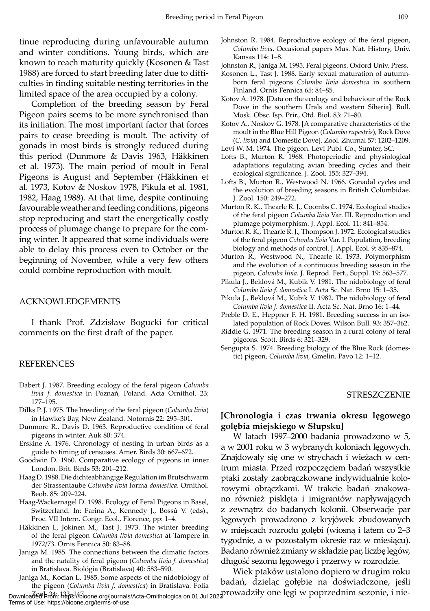tinue reproducing during unfavourable autumn and winter conditions. Young birds, which are known to reach maturity quickly (Kosonen & Tast 1988) are forced to start breeding later due to difficulties in finding suitable nesting territories in the limited space of the area occupied by a colony.

Completion of the breeding season by Feral Pigeon pairs seems to be more synchronised than its initiation. The most important factor that forces pairs to cease breeding is moult. The activity of gonads in most birds is strongly reduced during this period (Dunmore & Davis 1963, Häkkinen et al. 1973). The main period of moult in Feral Pigeons is August and September (Häkkinen et al. 1973, Kotov & Noskov 1978, Pikula et al. 1981, 1982, Haag 1988). At that time, despite continuing favourable weather and feeding conditions, pigeons stop reproducing and start the energetically costly process of plumage change to prepare for the coming winter. It appeared that some individuals were able to delay this process even to October or the beginning of November, while a very few others could combine reproduction with moult.

#### ACKNOWLEDGEMENTS

I thank Prof. Zdzisław Bogucki for critical comments on the first draft of the paper.

#### REFERENCES

- Dabert J. 1987. Breeding ecology of the feral pigeon *Columba livia f. domestica* in Poznań, Poland. Acta Ornithol. 23: 177–195.
- Dilks P. J. 1975. The breeding of the feral pigeon (*Columba livia*) in Hawke's Bay, New Zealand. Notornis 22: 295–301.
- Dunmore R., Davis D. 1963. Reproductive condition of feral pigeons in winter. Auk 80: 374.
- Erskine A. 1976. Chronology of nesting in urban birds as a guide to timing of censuses. Amer. Birds 30: 667–672.
- Goodwin D. 1960. Comparative ecology of pigeons in inner London. Brit. Birds 53: 201–212.
- Haag D. 1988. Die dichteabhängige Regulation im Brutschwarm der Strassentaube *Columba livia* forma *domestica*. Ornithol. Beob. 85: 209–224.
- Haag-Wackernagel D. 1998. Ecology of Feral Pigeons in Basel, Switzerland. In: Farina A., Kennedy J., Bossú V. (eds)., Proc. VII Intern. Congr. Ecol., Florence, pp: 1–4.
- Häkkinen I., Jokinen M., Tast J. 1973. The winter breeding of the feral pigeon *Columba livia domestica* at Tampere in 1972/73. Ornis Fennica 50: 83–88.
- Janiga M. 1985. The connections between the climatic factors and the natality of feral pigeon (*Columba livia f. domestica*) in Bratislava. Biológia (Bratislava) 40: 583–590.
- Janiga M., Kocian L. 1985. Some aspects of the nidobiology of the pigeon (*Columba livia f. domestica*) in Bratislava. Folia

Terms of Use: https://bioone.org/terms-of-use

- Johnston R. 1984. Reproductive ecology of the feral pigeon, *Columba livia*. Occasional papers Mus. Nat. History, Univ. Kansas 114: 1–8.
- Johnston R., Janiga M. 1995. Feral pigeons. Oxford Univ. Press.
- Kosonen L., Tast J. 1988. Early sexual maturation of autumnborn feral pigeons *Columba livia domestica* in southern Finland. Ornis Fennica 65: 84–85.
- Kotov A. 1978. [Data on the ecology and behaviour of the Rock Dove in the southern Urals and western Siberia]. Bull. Mosk. Obsc. Isp. Prir., Otd. Biol. 83: 71–80.
- Kotov A., Noskov G. 1978. [A comparative characteristics of the moult in the Blue Hill Pigeon (*Columba rupestris*), Rock Dove (*C. livia*) and Domestic Dove]. Zool. Zhurnal 57: 1202–1209.
- Levi W. M. 1974. The pigeon. Levi Publ. Co., Sumter, SC.
- Lofts B., Murton R. 1968. Photoperiodic and physiological adaptations regulating avian breeding cycles and their ecological significance. J. Zool. 155: 327–394.
- Lofts B., Murton R., Westwood N. 1966. Gonadal cycles and the evolution of breeding seasons in British Columbidae. J. Zool. 150: 249–272.
- Murton R. K., Thearle R. J., Coombs C. 1974. Ecological studies of the feral pigeon *Columba livia* Var. III. Reproduction and plumage polymorphism. J. Appl. Ecol. 11: 841–854.
- Murton R. K., Thearle R. J., Thompson J. 1972. Ecological studies of the feral pigeon *Columba livia* Var. I. Population, breeding biology and methods of control. J. Appl. Ecol. 9: 835–874.
- Murton R., Westwood N., Thearle R. 1973. Polymorphism and the evolution of a continuous breeding season in the pigeon, *Columba livia*. J. Reprod. Fert., Suppl. 19: 563–577.
- Pikula J., Beklová M., Kubik V. 1981. The nidobiology of feral *Columba livia f. domestica* I. Acta Sc. Nat. Brno 15: 1–35.
- Pikula J., Beklová M., Kubik V. 1982. The nidobiology of feral *Columba livia f. domestica* II. Acta Sc. Nat. Brno 16: 1–44.
- Preble D. E., Heppner F. H. 1981. Breeding success in an isolated population of Rock Doves. Wilson Bull. 93: 357–362.
- Riddle G. 1971. The breeding season in a rural colony of feral pigeons. Scott. Birds 6: 321–329.
- Sengupta S. 1974. Breeding biology of the Blue Rock (domestic) pigeon, *Columba livia*, Gmelin. Pavo 12: 1–12.

#### **STRESZCZENIE**

## **[Chronologia i czas trwania okresu lęgowego gołębia miejskiego w Słupsku]**

W latach 1997–2000 badania prowadzono w 5, a w 2001 roku w 3 wybranych koloniach lęgowych. Znajdowały się one w strychach i wieżach w centrum miasta. Przed rozpoczęciem badań wszystkie ptaki zostały zaobrączkowane indywidualnie kolorowymi obrączkami. W trakcie badań znakowano również pisklęta i imigrantów napływających z zewnątrz do badanych kolonii. Obserwacje par lęgowych prowadzono z kryjówek zbudowanych w miejscach rozrodu gołębi (wiosną i latem co 2–3 tygodnie, a w pozostałym okresie raz w miesiącu). Badano również zmiany w składzie par, liczbę lęgów, długość sezonu lęgowego i przerwy w rozrodzie.

Downloa<del>de</del>@+n34: 1335-147.<br>Downloa<del>de</del>@+n34: 1385-147. Wiek ptaków ustalono dopiero w drugim roku badań, dzieląc gołębie na doświadczone, jeśli